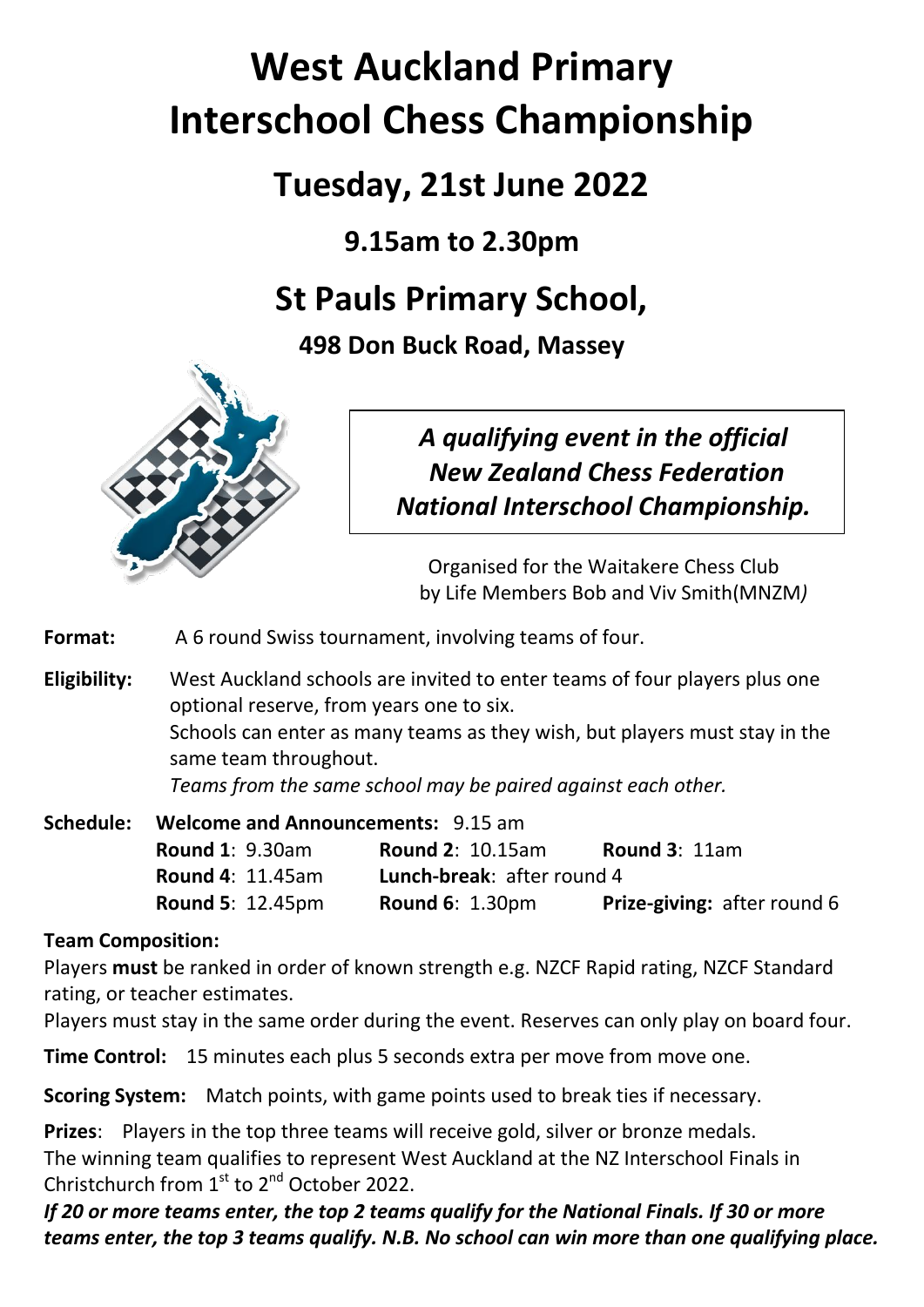# **West Auckland Primary Interschool Chess Championship**

## **Tuesday, 21st June 2022**

## **9.15am to 2.30pm**

## **St Pauls Primary School,**

**498 Don Buck Road, Massey**



## *A qualifying event in the official New Zealand Chess Federation National Interschool Championship.*

Organised for the Waitakere Chess Club by Life Members Bob and Viv Smith(MNZM*)*

**Format:** A 6 round Swiss tournament, involving teams of four.

**Eligibility:** West Auckland schools are invited to enter teams of four players plus one optional reserve, from years one to six. Schools can enter as many teams as they wish, but players must stay in the same team throughout. *Teams from the same school may be paired against each other.* 

**Schedule: Welcome and Announcements:** 9.15 am **Round 1**: 9.30am **Round 2**: 10.15am **Round 3**: 11am **Round 4**: 11.45am **Lunch-break**: after round 4 **Round 5**: 12.45pm **Round 6**: 1.30pm **Prize-giving:** after round 6

### **Team Composition:**

Players **must** be ranked in order of known strength e.g. NZCF Rapid rating, NZCF Standard rating, or teacher estimates.

Players must stay in the same order during the event. Reserves can only play on board four.

**Time Control:** 15 minutes each plus 5 seconds extra per move from move one.

**Scoring System:** Match points, with game points used to break ties if necessary.

**Prizes**: Players in the top three teams will receive gold, silver or bronze medals. The winning team qualifies to represent West Auckland at the NZ Interschool Finals in Christchurch from  $1<sup>st</sup>$  to  $2<sup>nd</sup>$  October 2022.

*If 20 or more teams enter, the top 2 teams qualify for the National Finals. If 30 or more teams enter, the top 3 teams qualify. N.B. No school can win more than one qualifying place.*